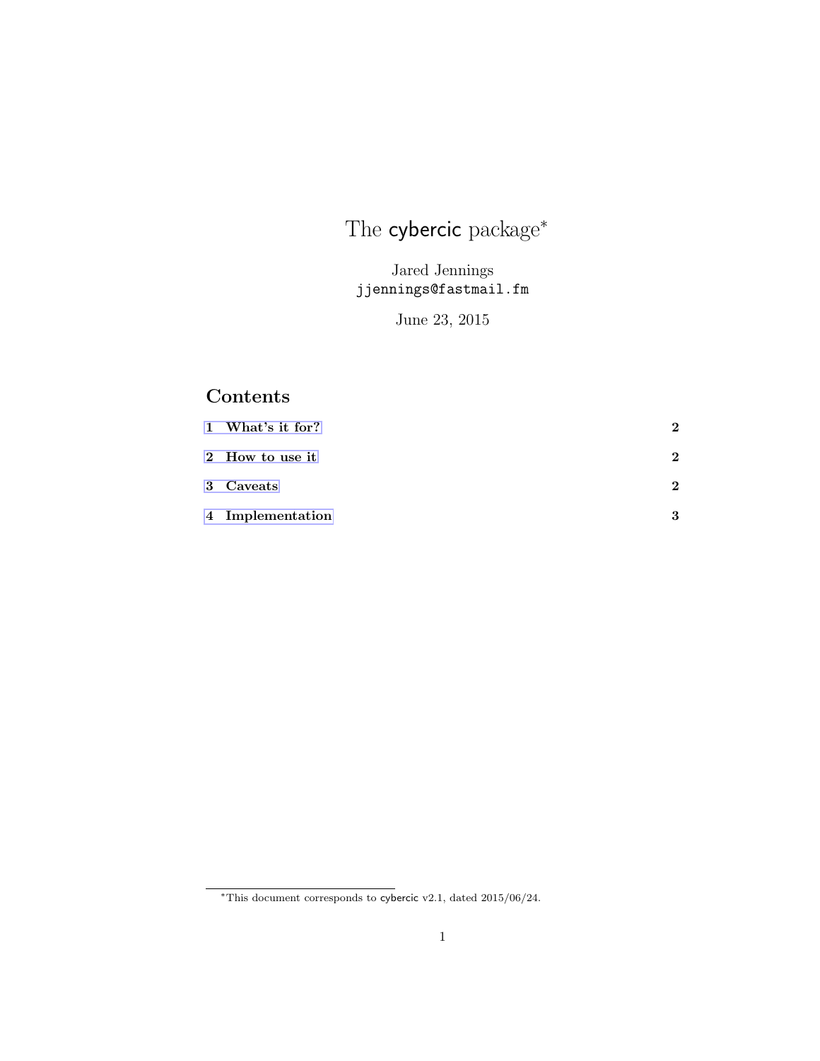# The **cybercic** package<sup>\*</sup>

Jared Jennings jjennings@fastmail.fm

June 23, 2015

## Contents

| 1 What's it for? |   |
|------------------|---|
| 2 How to use it  | ച |
| 3 Caveats        | ച |
| 4 Implementation |   |

<sup>∗</sup>This document corresponds to cybercic v2.1, dated 2015/06/24.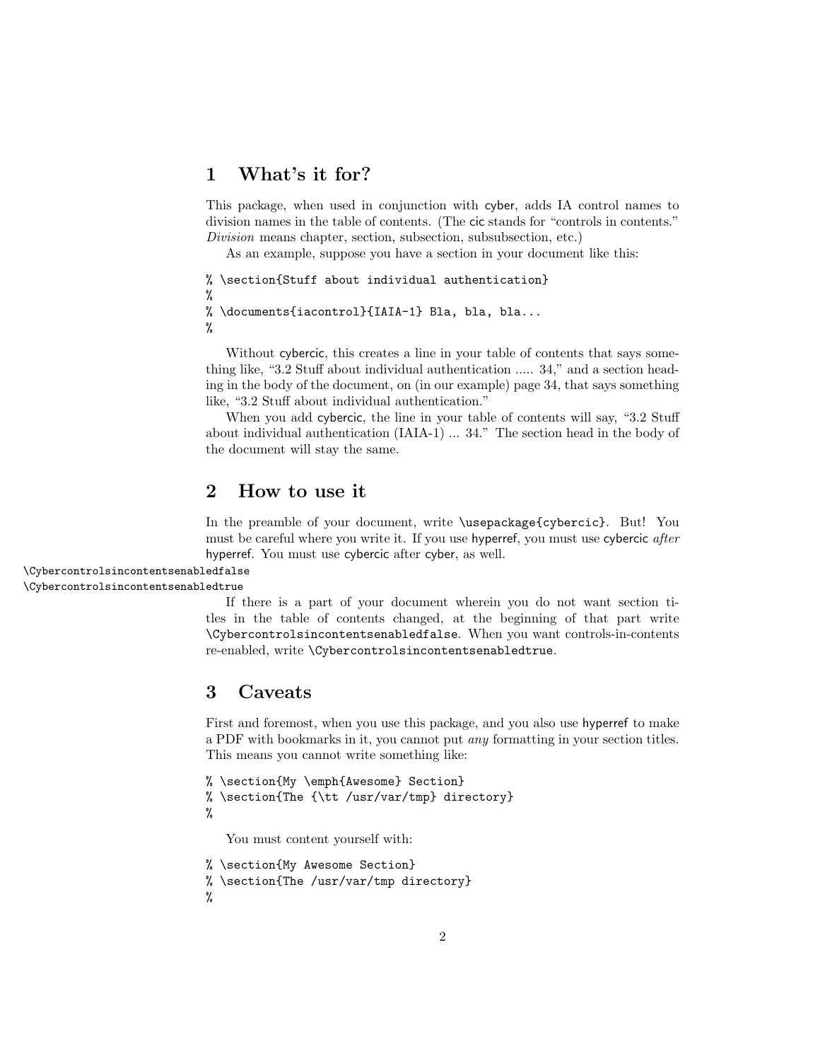## <span id="page-1-0"></span>1 What's it for?

This package, when used in conjunction with cyber, adds IA control names to division names in the table of contents. (The cic stands for "controls in contents." Division means chapter, section, subsection, subsubsection, etc.)

As an example, suppose you have a section in your document like this:

```
% \section{Stuff about individual authentication}
%
% \documents{iacontrol}{IAIA-1} Bla, bla, bla...
%
```
Without cybercic, this creates a line in your table of contents that says something like, "3.2 Stuff about individual authentication ..... 34," and a section heading in the body of the document, on (in our example) page 34, that says something like, "3.2 Stuff about individual authentication."

When you add cybercic, the line in your table of contents will say, "3.2 Stuff about individual authentication (IAIA-1) ... 34." The section head in the body of the document will stay the same.

### <span id="page-1-1"></span>2 How to use it

In the preamble of your document, write \usepackage{cybercic}. But! You must be careful where you write it. If you use hyperref, you must use cybercic *after* hyperref. You must use cybercic after cyber, as well.

\Cybercontrolsincontentsenabledfalse

\Cybercontrolsincontentsenabledtrue

If there is a part of your document wherein you do not want section titles in the table of contents changed, at the beginning of that part write \Cybercontrolsincontentsenabledfalse. When you want controls-in-contents re-enabled, write \Cybercontrolsincontentsenabledtrue.

## <span id="page-1-2"></span>3 Caveats

First and foremost, when you use this package, and you also use hyperref to make a PDF with bookmarks in it, you cannot put any formatting in your section titles. This means you cannot write something like:

```
% \section{My \emph{Awesome} Section}
% \section{The {\tt /usr/var/tmp} directory}
%
```
You must content yourself with:

```
% \section{My Awesome Section}
```

```
% \section{The /usr/var/tmp directory}
```
%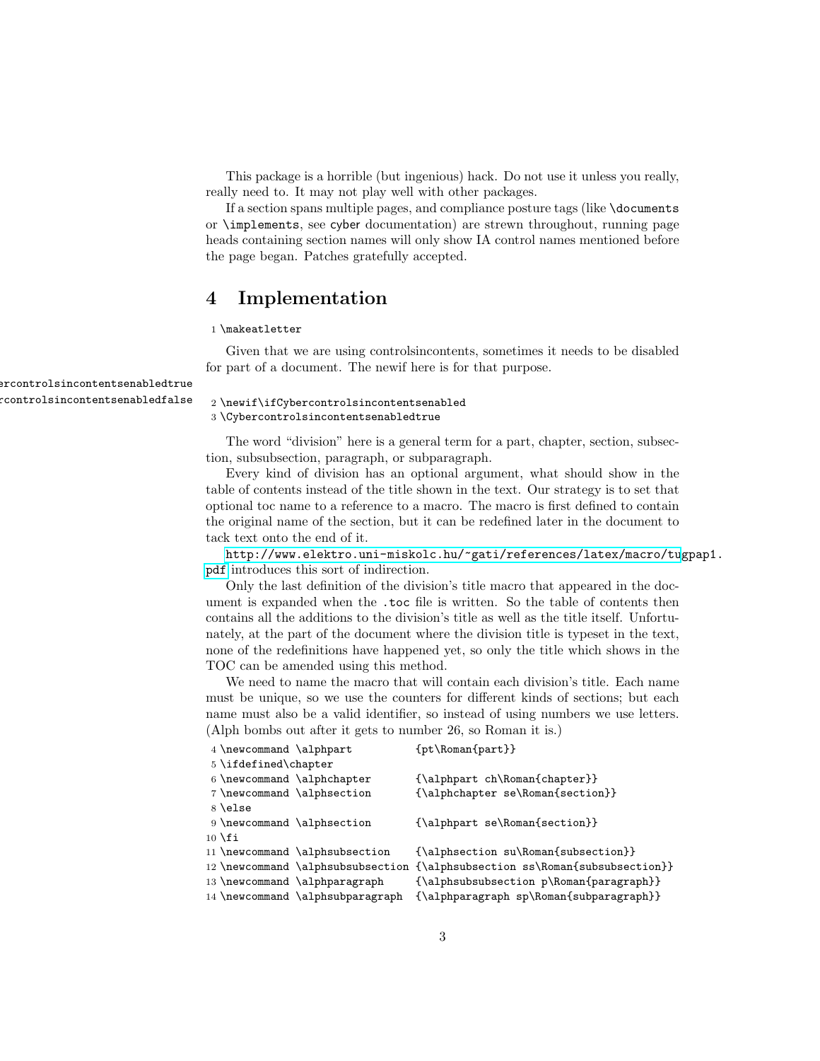This package is a horrible (but ingenious) hack. Do not use it unless you really, really need to. It may not play well with other packages.

If a section spans multiple pages, and compliance posture tags (like \documents or \implements, see cyber documentation) are strewn throughout, running page heads containing section names will only show IA control names mentioned before the page began. Patches gratefully accepted.

## <span id="page-2-0"></span>4 Implementation

#### 1 \makeatletter

Given that we are using controlsincontents, sometimes it needs to be disabled for part of a document. The newif here is for that purpose.

#### $\Gamma$ controlsincontentsenabledfalse  $_2 \neq \text{if}\ifCy\neq \text{or} \ifCy\neq \text{or} \ifCy\neq \text{or} \ifCy\neq \text{or} \ifCy\neq \text{or} \ifCy\neq \text{or} \ifCy\neq \text{or} \ifCy\neq \text{or} \ifCy\neq \text{or} \ifCy\neq \text{or} \ifCy\neq \text{or} \ifCy\neq \text{or} \ifCy\neq \text{or} \ifCy\neq \text{or} \ifCy\neq \$ 3 \Cybercontrolsincontentsenabledtrue

The word "division" here is a general term for a part, chapter, section, subsection, subsubsection, paragraph, or subparagraph.

Every kind of division has an optional argument, what should show in the table of contents instead of the title shown in the text. Our strategy is to set that optional toc name to a reference to a macro. The macro is first defined to contain the original name of the section, but it can be redefined later in the document to tack text onto the end of it.

[http://www.elektro.uni-miskolc.hu/~gati/references/latex/macro/tu](http://www.elektro.uni-miskolc.hu/~gati/references/latex/macro/tugpap1.pdf)gpap1. [pdf](http://www.elektro.uni-miskolc.hu/~gati/references/latex/macro/tugpap1.pdf) introduces this sort of indirection.

Only the last definition of the division's title macro that appeared in the document is expanded when the .toc file is written. So the table of contents then contains all the additions to the division's title as well as the title itself. Unfortunately, at the part of the document where the division title is typeset in the text, none of the redefinitions have happened yet, so only the title which shows in the TOC can be amended using this method.

We need to name the macro that will contain each division's title. Each name must be unique, so we use the counters for different kinds of sections; but each name must also be a valid identifier, so instead of using numbers we use letters. (Alph bombs out after it gets to number 26, so Roman it is.)

| 4 \newcommand \alphpart    |                                   | {pt\Roman{part}}                          |
|----------------------------|-----------------------------------|-------------------------------------------|
| 5 \ifdefined\chapter       |                                   |                                           |
| 6 \newcommand \alphchapter |                                   | {\alphpart ch\Roman{chapter}}             |
| 7 \newcommand \alphsection |                                   | {\alphchapter se\Roman{section}}          |
| $8 \text{else}$            |                                   |                                           |
| 9 \newcommand \alphsection |                                   | ${\alpha r s \lambda}$                    |
| $10 \setminus fi$          |                                   |                                           |
|                            | 11 \newcommand \alphsubsection    | {\alphsection su\Roman{subsection}}       |
|                            | 12 \newcommand \alphsubsubsection | {\alphsubsection ss\Roman{subsubsection}} |
|                            | 13 \newcommand \alphparagraph     | {\alphsubsubsection p\Roman{paragraph}}   |
|                            | 14 \newcommand \alphsubparagraph  | {\alphparagraph sp\Roman{subparagraph}}   |

 $\operatorname{\mathsf{arcontrol}}$ sin $\operatorname{\mathsf{contentsenabledtrue}}$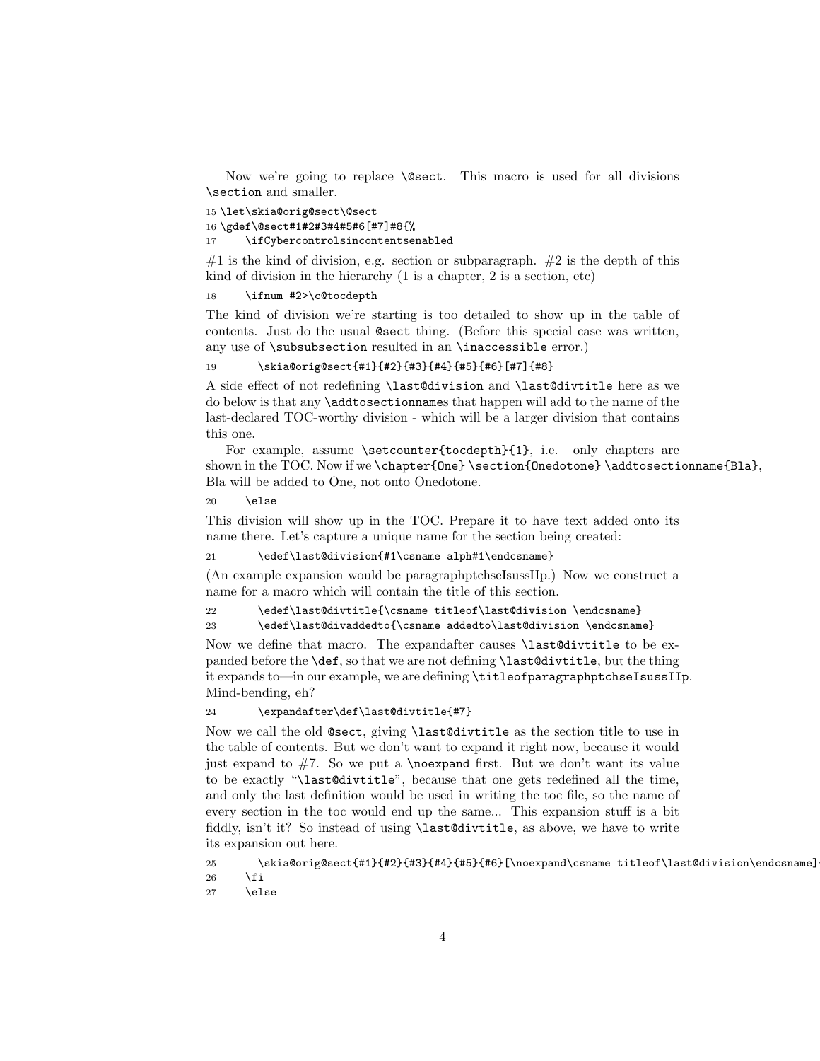Now we're going to replace \@sect. This macro is used for all divisions \section and smaller.

```
15 \let\skia@orig@sect\@sect
16 \gdef\@sect#1#2#3#4#5#6[#7]#8{%
17 \ifCybercontrolsincontentsenabled
```
#1 is the kind of division, e.g. section or subparagraph. #2 is the depth of this kind of division in the hierarchy (1 is a chapter, 2 is a section, etc)

#### 18 \ifnum #2>\c@tocdepth

The kind of division we're starting is too detailed to show up in the table of contents. Just do the usual @sect thing. (Before this special case was written, any use of \subsubsection resulted in an \inaccessible error.)

#### 19 \skia@orig@sect{#1}{#2}{#3}{#4}{#5}{#6}[#7]{#8}

A side effect of not redefining \last@division and \last@divtitle here as we do below is that any \addtosectionnames that happen will add to the name of the last-declared TOC-worthy division - which will be a larger division that contains this one.

For example, assume \setcounter{tocdepth}{1}, i.e. only chapters are shown in the TOC. Now if we \chapter{One} \section{Onedotone} \addtosectionname{Bla}, Bla will be added to One, not onto Onedotone.

 $20 \text{ kg}$ 

This division will show up in the TOC. Prepare it to have text added onto its name there. Let's capture a unique name for the section being created:

21 \edef\last@division{#1\csname alph#1\endcsname}

(An example expansion would be paragraphptchseIsussIIp.) Now we construct a name for a macro which will contain the title of this section.

```
22 \edef\last@divtitle{\csname titleof\last@division \endcsname}
```
23 \edef\last@divaddedto{\csname addedto\last@division \endcsname}

Now we define that macro. The expandafter causes \last@divtitle to be expanded before the \def, so that we are not defining \last@divtitle, but the thing it expands to—in our example, we are defining \titleofparagraphptchseIsussIIp. Mind-bending, eh?

#### 24 \expandafter\def\last@divtitle{#7}

Now we call the old @sect, giving \last@divtitle as the section title to use in the table of contents. But we don't want to expand it right now, because it would just expand to  $#7$ . So we put a \noexpand first. But we don't want its value to be exactly "\last@divtitle", because that one gets redefined all the time, and only the last definition would be used in writing the toc file, so the name of every section in the toc would end up the same... This expansion stuff is a bit fiddly, isn't it? So instead of using \last@divtitle, as above, we have to write its expansion out here.

25 \skia@orig@sect{#1}{#2}{#3}{#4}{#5}{#6}[\noexpand\csname titleof\last@division\endcsname]  $26$  \fi

27 \else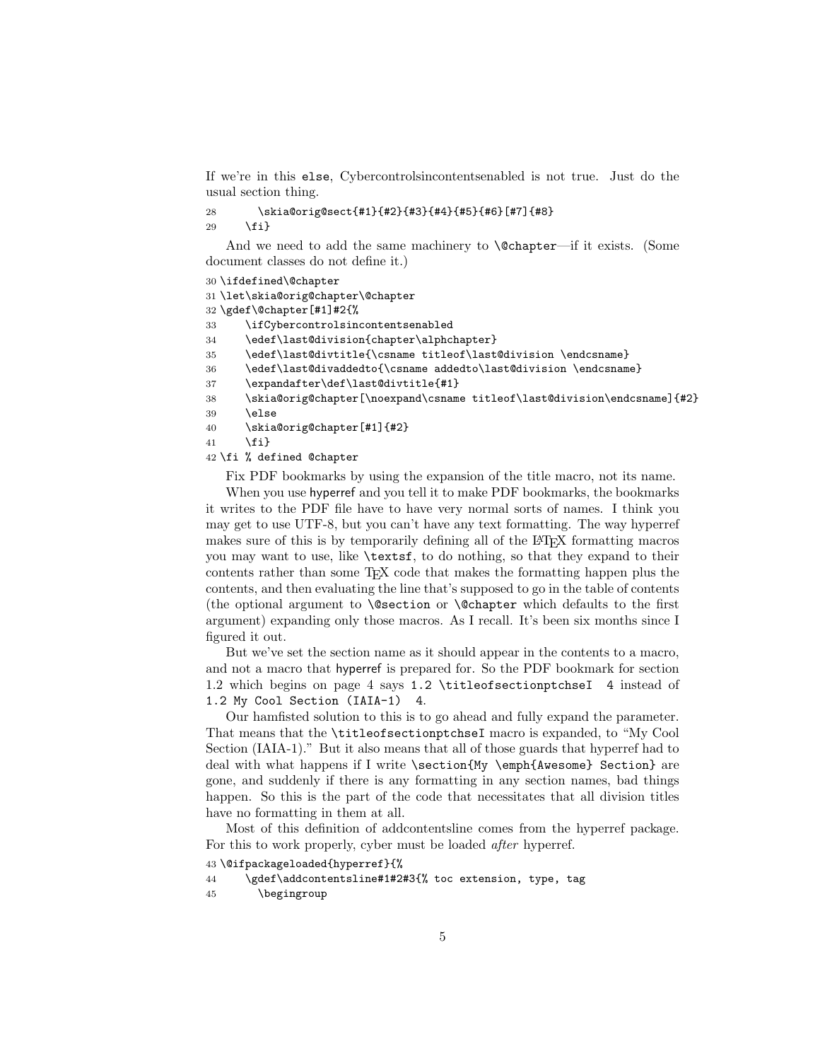If we're in this else, Cybercontrolsincontentsenabled is not true. Just do the usual section thing.

```
28 \skia@orig@sect{#1}{#2}{#3}{#4}{#5}{#6}[#7]{#8}
```
29  $\{f_i\}$ 

And we need to add the same machinery to **\@chapter—if** it exists. (Some document classes do not define it.)

```
30 \ifdefined\@chapter
```
31 \let\skia@orig@chapter\@chapter

```
32 \gdef\@chapter[#1]#2{%
```
33 \ifCybercontrolsincontentsenabled

34 \edef\last@division{chapter\alphchapter}

```
35 \edef\last@divtitle{\csname titleof\last@division \endcsname}
```
36 \edef\last@divaddedto{\csname addedto\last@division \endcsname}

37 \expandafter\def\last@divtitle{#1}

```
38 \skia@orig@chapter[\noexpand\csname titleof\last@division\endcsname]{#2}
```
39 \else

```
40 \skia@orig@chapter[#1]{#2}
```

```
41 \{f_i\}
```
#### 42 \fi % defined @chapter

Fix PDF bookmarks by using the expansion of the title macro, not its name.

When you use hyperref and you tell it to make PDF bookmarks, the bookmarks it writes to the PDF file have to have very normal sorts of names. I think you may get to use UTF-8, but you can't have any text formatting. The way hyperref makes sure of this is by temporarily defining all of the LATEX formatting macros you may want to use, like \textsf, to do nothing, so that they expand to their contents rather than some TEX code that makes the formatting happen plus the contents, and then evaluating the line that's supposed to go in the table of contents (the optional argument to \@section or \@chapter which defaults to the first argument) expanding only those macros. As I recall. It's been six months since I figured it out.

But we've set the section name as it should appear in the contents to a macro, and not a macro that hyperref is prepared for. So the PDF bookmark for section 1.2 which begins on page 4 says 1.2 \titleofsectionptchseI 4 instead of 1.2 My Cool Section (IAIA-1) 4.

Our hamfisted solution to this is to go ahead and fully expand the parameter. That means that the \titleofsectionptchseI macro is expanded, to "My Cool Section (IAIA-1)." But it also means that all of those guards that hyperref had to deal with what happens if I write \section{My \emph{Awesome} Section} are gone, and suddenly if there is any formatting in any section names, bad things happen. So this is the part of the code that necessitates that all division titles have no formatting in them at all.

Most of this definition of addcontentsline comes from the hyperref package. For this to work properly, cyber must be loaded *after* hyperref.

43 \@ifpackageloaded{hyperref}{%

```
44 \gdef\addcontentsline#1#2#3{% toc extension, type, tag
```

```
45 \begingroup
```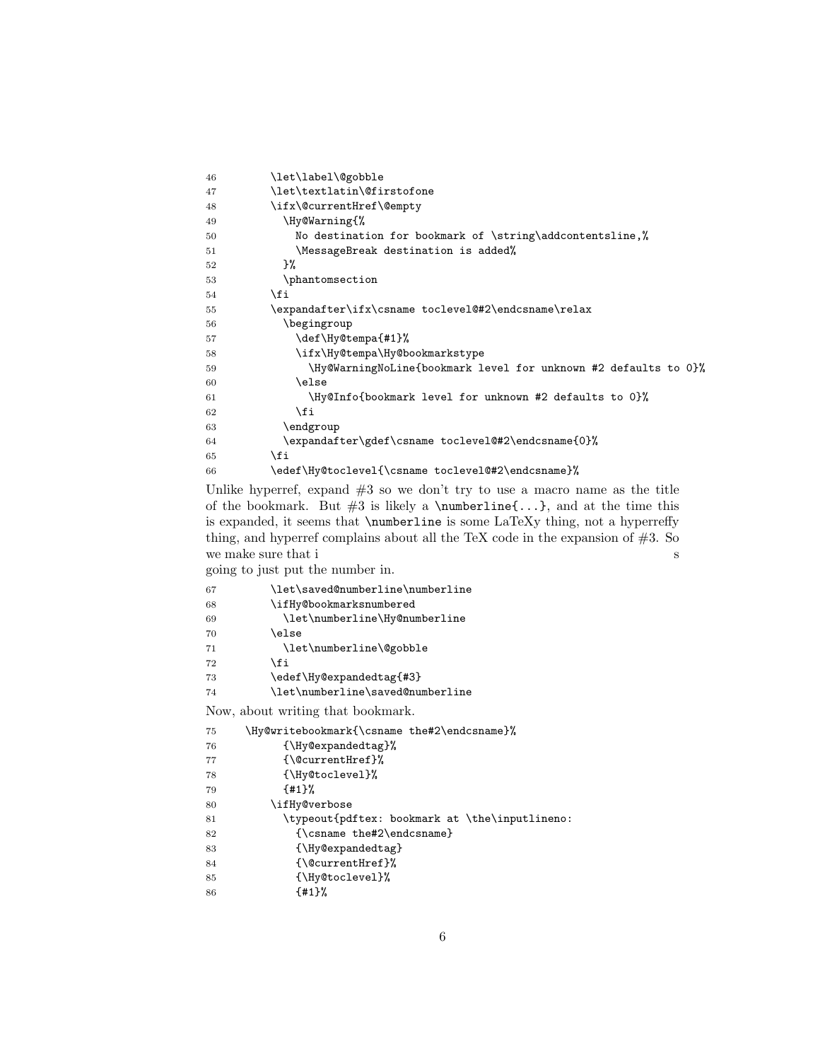| 46 | \let\label\@gobble                                              |
|----|-----------------------------------------------------------------|
| 47 | \let\textlatin\@firstofone                                      |
| 48 | \ifx\@currentHref\@empty                                        |
| 49 | \Hy@Warning{%                                                   |
| 50 | No destination for bookmark of \string\addcontentsline,%        |
| 51 | \MessageBreak destination is added%                             |
| 52 | }‰                                                              |
| 53 | \phantomsection                                                 |
| 54 | \fi                                                             |
| 55 | \expandafter\ifx\csname toclevel@#2\endcsname\relax             |
| 56 | \begingroup                                                     |
| 57 | \def\Hy@tempa{#1}%                                              |
| 58 | \ifx\Hy@tempa\Hy@bookmarkstype                                  |
| 59 | \Hy@WarningNoLine{bookmark level for unknown #2 defaults to 0}% |
| 60 | \else                                                           |
| 61 | \Hy@Info{bookmark level for unknown #2 defaults to 0}%          |
| 62 | \fi                                                             |
| 63 | \endgroup                                                       |
| 64 | \expandafter\gdef\csname toclevel@#2\endcsname{0}%              |
| 65 | \fi                                                             |
| 66 | \edef\Hy@toclevel{\csname toclevel@#2\endcsname}%               |

Unlike hyperref, expand  $#3$  so we don't try to use a macro name as the title of the bookmark. But  $#3$  is likely a \numberline{...}, and at the time this is expanded, it seems that \numberline is some LaTeXy thing, not a hyperreffy thing, and hyperref complains about all the TeX code in the expansion of  $#3$ . So we make sure that  $\mathrm{i}\,$ 

going to just put the number in.

| 67 | \let\saved@numberline\numberline               |
|----|------------------------------------------------|
| 68 | \ifHy@bookmarksnumbered                        |
| 69 | \let\numberline\Hy@numberline                  |
| 70 | \else                                          |
| 71 | \let\numberline\@gobble                        |
| 72 | \fi                                            |
| 73 | \edef\Hy@expandedtag{#3}                       |
| 74 | \let\numberline\saved@numberline               |
|    | Now, about writing that bookmark.              |
| 75 | \Hy@writebookmark{\csname the#2\endcsname}%    |
| 76 | {\Hy@expandedtag}%                             |
| 77 | {\@currentHref}%                               |
| 78 | {\Hy@toclevel}%                                |
| 79 | ${41}$ %                                       |
| 80 | \ifHy@verbose                                  |
| 81 | \typeout{pdftex: bookmark at \the\inputlineno: |
| 82 | {\csname the#2\endcsname}                      |
| 83 | {\Hy@expandedtag}                              |
| 84 | {\@currentHref}%                               |
| 85 | {\Hy@toclevel}%                                |
| 86 | ${41}\%$                                       |
|    |                                                |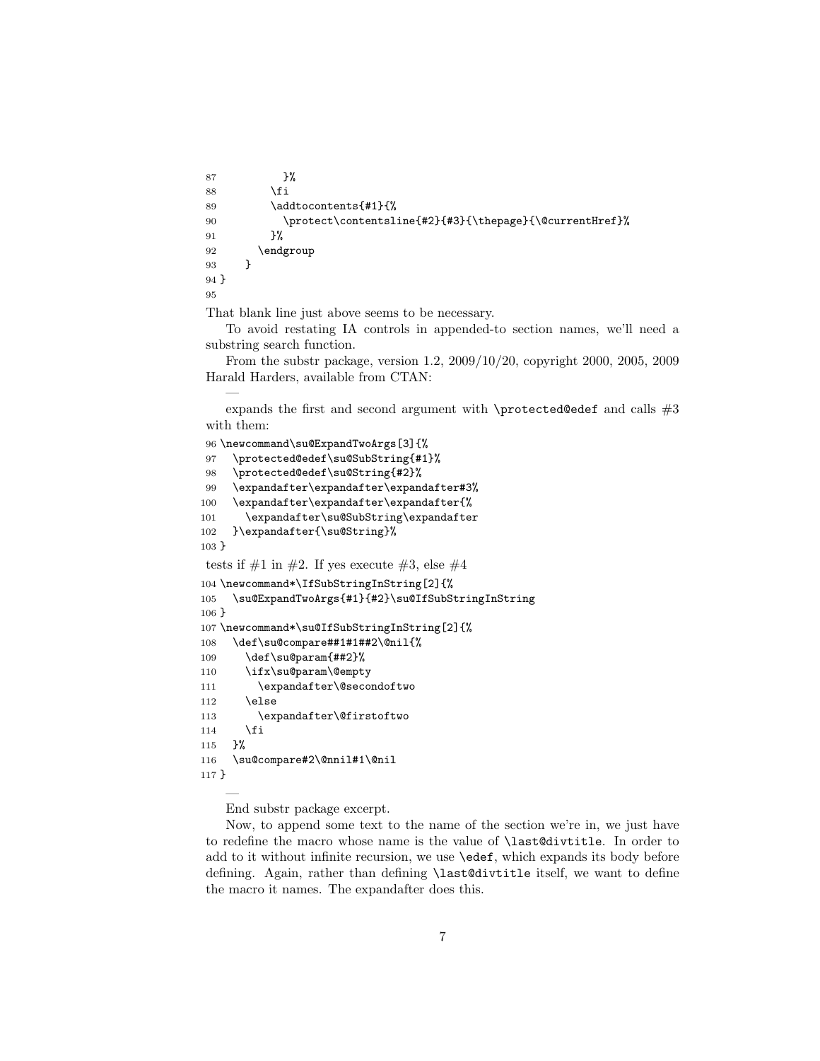```
87 }%
88 \overrightarrow{fi}89 \addtocontents{#1}{%
90 \protect\contentsline{#2}{#3}{\thepage}{\@currentHref}%
91 }%
92 \endgroup
93 }
94 }
95
```
That blank line just above seems to be necessary.

—

To avoid restating IA controls in appended-to section names, we'll need a substring search function.

From the substr package, version 1.2, 2009/10/20, copyright 2000, 2005, 2009 Harald Harders, available from CTAN:

expands the first and second argument with  $\$ rotected@edef and calls  $#3$ with them:

```
96 \newcommand\su@ExpandTwoArgs[3]{%
97 \protected@edef\su@SubString{#1}%
98 \protected@edef\su@String{#2}%
99 \expandafter\expandafter\expandafter#3%
100 \expandafter\expandafter\expandafter{%
101 \expandafter\su@SubString\expandafter
102 }\expandafter{\su@String}%
103 }
tests if \#1 in \#2. If yes execute \#3, else \#4104 \newcommand*\IfSubStringInString[2]{%
105 \su@ExpandTwoArgs{#1}{#2}\su@IfSubStringInString
106 }
107 \newcommand*\su@IfSubStringInString[2]{%
108 \def\su@compare##1#1##2\@nil{%
109 \def\su@param{##2}%
110 \ifx\su@param\@empty
111 \expandafter\@secondoftwo
112 \else
113 \expandafter\@firstoftwo
114 \fi
115 }%
116 \su@compare#2\@nnil#1\@nil
117 }
    —
```
End substr package excerpt.

Now, to append some text to the name of the section we're in, we just have to redefine the macro whose name is the value of \last@divtitle. In order to add to it without infinite recursion, we use \edef, which expands its body before defining. Again, rather than defining \last@divtitle itself, we want to define the macro it names. The expandafter does this.